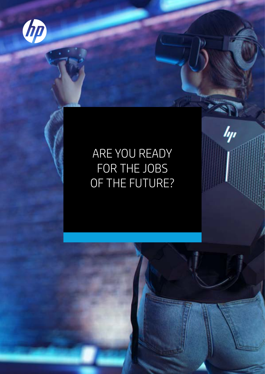

# ARE YOU READY FOR THE JOBS OF THE FUTURE?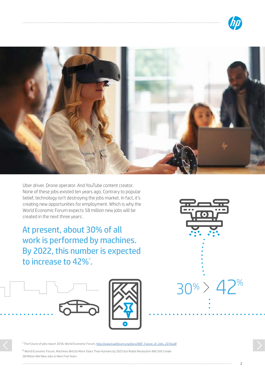



Uber driver. Drone operator. And YouTube content creator. None of these jobs existed ten years ago. Contrary to popular belief, technology isn't destroying the jobs market. In fact, it's creating new opportunities for employment. Which is why the World Economic Forum expects 58 million new jobs will be created in the next three years<sup>i</sup>.

At present, about 30% of all work is performed by machines. By 2022, this number is expected to increase to 42%".





<sup>i</sup> The Future of jobs report 2018, World Economic Forum, [http://www3.weforum.org/docs/WEF\\_Future\\_of\\_Jobs\\_2018.pdf](http://www3.weforum.org/docs/WEF_Future_of_Jobs_2018.pdf )

ii World Economic Forum, Machines Will Do More Tasks Than Humans by 2025 but Robot Revolution Will Still Create 58 Million Net New Jobs in Next Five Years

 $\overline{\phantom{0}}$ 

 $30\% > 42\%$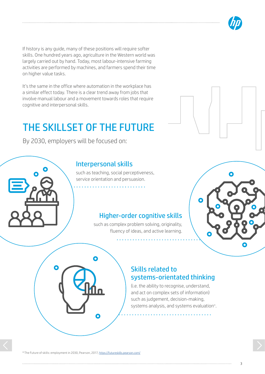

If history is any guide, many of these positions will require softer skills. One hundred years ago, agriculture in the Western world was largely carried out by hand. Today, most labour-intensive farming activities are performed by machines, and farmers spend their time on higher value tasks.

It's the same in the office where automation in the workplace has a similar effect today. There is a clear trend away from jobs that involve manual labour and a movement towards roles that require cognitive and interpersonal skills.

## THE SKILLSET OF THE FUTURE

By 2030, employers will be focused on:

### Interpersonal skills

such as teaching, social perceptiveness, service orientation and persuasion.

### Higher-order cognitive skills

such as complex problem solving, originality, fluency of ideas, and active learning.



#### Skills related to systems-orientated thinking

(i.e. the ability to recognise, understand, and act on complex sets of information) such as judgement, decision-making, systems analysis, and systems evaluation<sup>ii</sup>.

. . . . . . . . . . . . . . . . .

3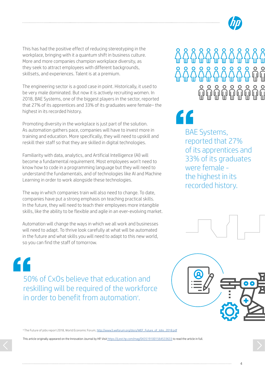

This has had the positive effect of reducing stereotyping in the workplace, bringing with it a quantum shift in business culture. More and more companies champion workplace diversity, as they seek to attract employees with different backgrounds, skillsets, and experiences. Talent is at a premium.

The engineering sector is a good case in point. Historically, it used to be very male dominated. But now it is actively recruiting women. In 2018, BAE Systems, one of the biggest players in the sector, reported that 27% of its apprentices and 33% of its graduates were female– the highest in its recorded history.

Promoting diversity in the workplace is just part of the solution. As automation gathers pace, companies will have to invest more in training and education. More specifically, they will need to upskill and reskill their staff so that they are skilled in digital technologies.

Familiarity with data, analytics, and Artificial Intelligence (AI) will become a fundamental requirement. Most employees won't need to know how to code in a programming language but they will need to understand the fundamentals, and of technologies like AI and Machine Learning in order to work alongside these technologies.

The way in which companies train will also need to change. To date, companies have put a strong emphasis on teaching practical skills. In the future, they will need to teach their employees more intangible skills, like the ability to be flexible and agile in an ever-evolving market.

Automation will change the ways in which we all work and businesses will need to adapt. To thrive look carefully at what will be automated in the future and what skills you will need to adapt to this new world, so you can find the staff of tomorrow.

50% of CxOs believe that education and

in order to benefit from automation".

reskilling will be required of the workforce

"

BAE Systems, reported that 27% of its apprentices and 33% of its graduates were female the highest in its recorded history. "



v The Future of jobs report 2018, World Economic Forum, [http://www3.weforum.org/docs/WEF\\_Future\\_of\\_Jobs\\_2018.pdf](http://www3.weforum.org/docs/WEF_Future_of_Jobs_2018.pdf )

This article originally appeared on the Innovation Journal by HP. Visit <https://ij.ext.hp.com/mag/0435191001564533633> to read the article in full.